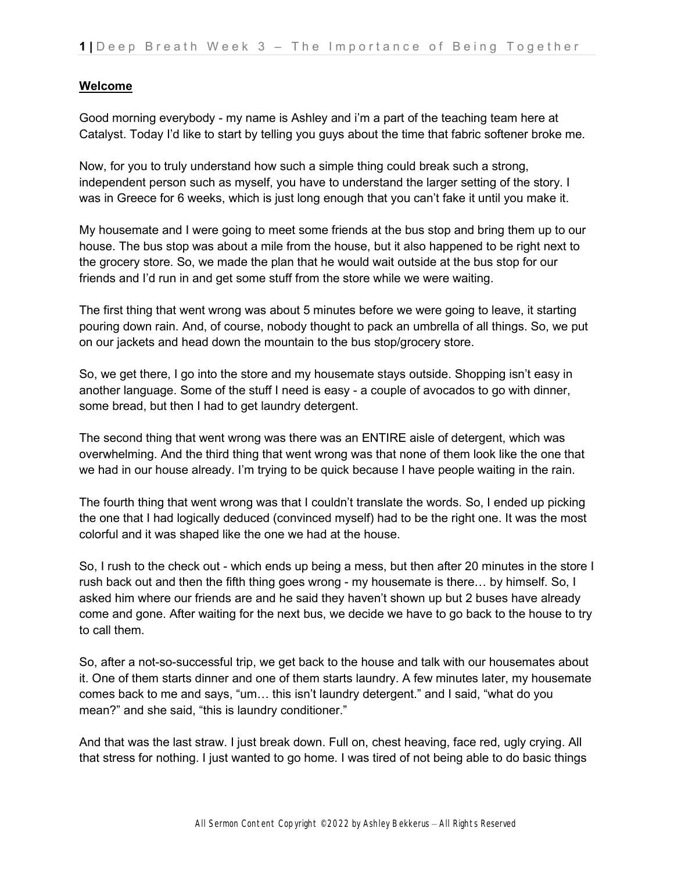# **Welcome**

Good morning everybody - my name is Ashley and i'm a part of the teaching team here at Catalyst. Today I'd like to start by telling you guys about the time that fabric softener broke me.

Now, for you to truly understand how such a simple thing could break such a strong, independent person such as myself, you have to understand the larger setting of the story. I was in Greece for 6 weeks, which is just long enough that you can't fake it until you make it.

My housemate and I were going to meet some friends at the bus stop and bring them up to our house. The bus stop was about a mile from the house, but it also happened to be right next to the grocery store. So, we made the plan that he would wait outside at the bus stop for our friends and I'd run in and get some stuff from the store while we were waiting.

The first thing that went wrong was about 5 minutes before we were going to leave, it starting pouring down rain. And, of course, nobody thought to pack an umbrella of all things. So, we put on our jackets and head down the mountain to the bus stop/grocery store.

So, we get there, I go into the store and my housemate stays outside. Shopping isn't easy in another language. Some of the stuff I need is easy - a couple of avocados to go with dinner, some bread, but then I had to get laundry detergent.

The second thing that went wrong was there was an ENTIRE aisle of detergent, which was overwhelming. And the third thing that went wrong was that none of them look like the one that we had in our house already. I'm trying to be quick because I have people waiting in the rain.

The fourth thing that went wrong was that I couldn't translate the words. So, I ended up picking the one that I had logically deduced (convinced myself) had to be the right one. It was the most colorful and it was shaped like the one we had at the house.

So, I rush to the check out - which ends up being a mess, but then after 20 minutes in the store I rush back out and then the fifth thing goes wrong - my housemate is there… by himself. So, I asked him where our friends are and he said they haven't shown up but 2 buses have already come and gone. After waiting for the next bus, we decide we have to go back to the house to try to call them.

So, after a not-so-successful trip, we get back to the house and talk with our housemates about it. One of them starts dinner and one of them starts laundry. A few minutes later, my housemate comes back to me and says, "um… this isn't laundry detergent." and I said, "what do you mean?" and she said, "this is laundry conditioner."

And that was the last straw. I just break down. Full on, chest heaving, face red, ugly crying. All that stress for nothing. I just wanted to go home. I was tired of not being able to do basic things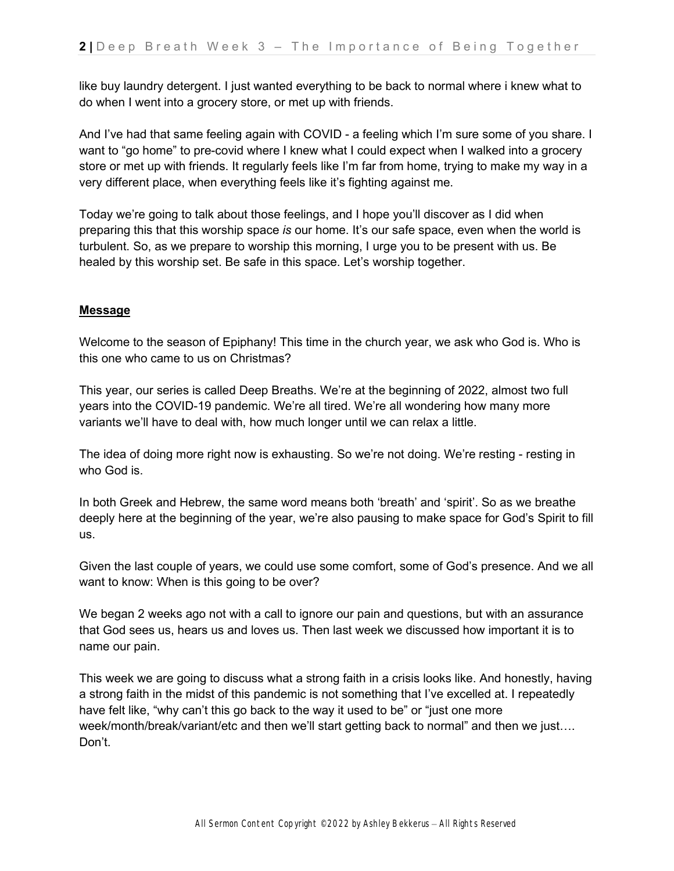like buy laundry detergent. I just wanted everything to be back to normal where i knew what to do when I went into a grocery store, or met up with friends.

And I've had that same feeling again with COVID - a feeling which I'm sure some of you share. I want to "go home" to pre-covid where I knew what I could expect when I walked into a grocery store or met up with friends. It regularly feels like I'm far from home, trying to make my way in a very different place, when everything feels like it's fighting against me.

Today we're going to talk about those feelings, and I hope you'll discover as I did when preparing this that this worship space *is* our home. It's our safe space, even when the world is turbulent. So, as we prepare to worship this morning, I urge you to be present with us. Be healed by this worship set. Be safe in this space. Let's worship together.

# **Message**

Welcome to the season of Epiphany! This time in the church year, we ask who God is. Who is this one who came to us on Christmas?

This year, our series is called Deep Breaths. We're at the beginning of 2022, almost two full years into the COVID-19 pandemic. We're all tired. We're all wondering how many more variants we'll have to deal with, how much longer until we can relax a little.

The idea of doing more right now is exhausting. So we're not doing. We're resting - resting in who God is.

In both Greek and Hebrew, the same word means both 'breath' and 'spirit'. So as we breathe deeply here at the beginning of the year, we're also pausing to make space for God's Spirit to fill us.

Given the last couple of years, we could use some comfort, some of God's presence. And we all want to know: When is this going to be over?

We began 2 weeks ago not with a call to ignore our pain and questions, but with an assurance that God sees us, hears us and loves us. Then last week we discussed how important it is to name our pain.

This week we are going to discuss what a strong faith in a crisis looks like. And honestly, having a strong faith in the midst of this pandemic is not something that I've excelled at. I repeatedly have felt like, "why can't this go back to the way it used to be" or "just one more week/month/break/variant/etc and then we'll start getting back to normal" and then we just…. Don't.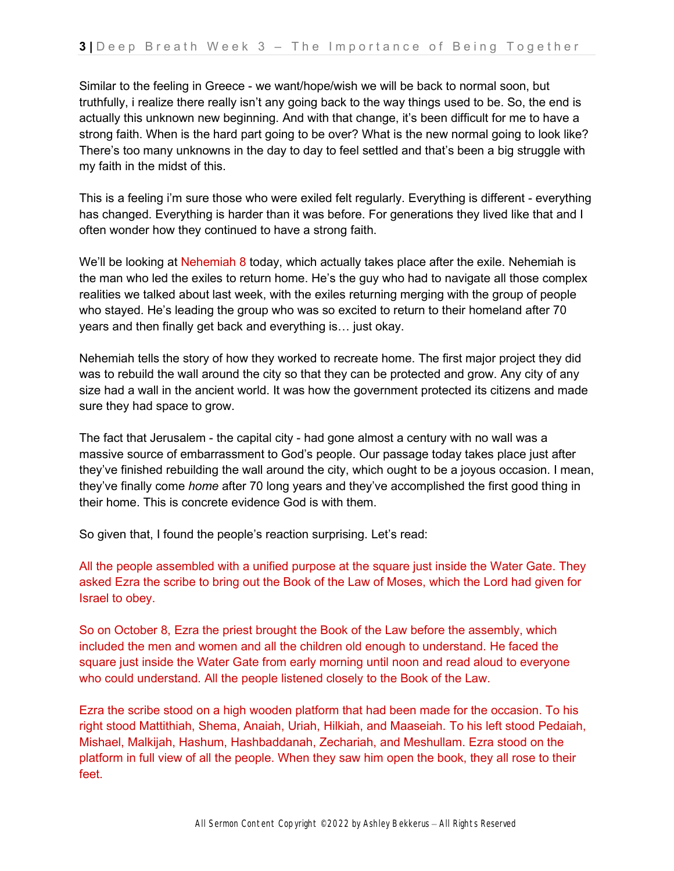Similar to the feeling in Greece - we want/hope/wish we will be back to normal soon, but truthfully, i realize there really isn't any going back to the way things used to be. So, the end is actually this unknown new beginning. And with that change, it's been difficult for me to have a strong faith. When is the hard part going to be over? What is the new normal going to look like? There's too many unknowns in the day to day to feel settled and that's been a big struggle with my faith in the midst of this.

This is a feeling i'm sure those who were exiled felt regularly. Everything is different - everything has changed. Everything is harder than it was before. For generations they lived like that and I often wonder how they continued to have a strong faith.

We'll be looking at Nehemiah 8 today, which actually takes place after the exile. Nehemiah is the man who led the exiles to return home. He's the guy who had to navigate all those complex realities we talked about last week, with the exiles returning merging with the group of people who stayed. He's leading the group who was so excited to return to their homeland after 70 years and then finally get back and everything is… just okay.

Nehemiah tells the story of how they worked to recreate home. The first major project they did was to rebuild the wall around the city so that they can be protected and grow. Any city of any size had a wall in the ancient world. It was how the government protected its citizens and made sure they had space to grow.

The fact that Jerusalem - the capital city - had gone almost a century with no wall was a massive source of embarrassment to God's people. Our passage today takes place just after they've finished rebuilding the wall around the city, which ought to be a joyous occasion. I mean, they've finally come *home* after 70 long years and they've accomplished the first good thing in their home. This is concrete evidence God is with them.

So given that, I found the people's reaction surprising. Let's read:

All the people assembled with a unified purpose at the square just inside the Water Gate. They asked Ezra the scribe to bring out the Book of the Law of Moses, which the Lord had given for Israel to obey.

So on October 8, Ezra the priest brought the Book of the Law before the assembly, which included the men and women and all the children old enough to understand. He faced the square just inside the Water Gate from early morning until noon and read aloud to everyone who could understand. All the people listened closely to the Book of the Law.

Ezra the scribe stood on a high wooden platform that had been made for the occasion. To his right stood Mattithiah, Shema, Anaiah, Uriah, Hilkiah, and Maaseiah. To his left stood Pedaiah, Mishael, Malkijah, Hashum, Hashbaddanah, Zechariah, and Meshullam. Ezra stood on the platform in full view of all the people. When they saw him open the book, they all rose to their feet.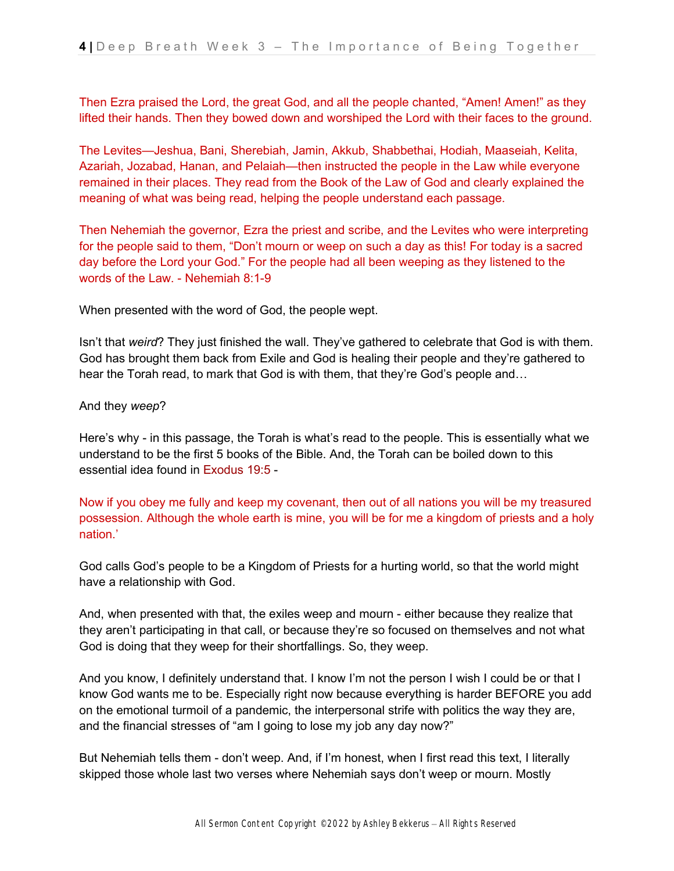Then Ezra praised the Lord, the great God, and all the people chanted, "Amen! Amen!" as they lifted their hands. Then they bowed down and worshiped the Lord with their faces to the ground.

The Levites—Jeshua, Bani, Sherebiah, Jamin, Akkub, Shabbethai, Hodiah, Maaseiah, Kelita, Azariah, Jozabad, Hanan, and Pelaiah—then instructed the people in the Law while everyone remained in their places. They read from the Book of the Law of God and clearly explained the meaning of what was being read, helping the people understand each passage.

Then Nehemiah the governor, Ezra the priest and scribe, and the Levites who were interpreting for the people said to them, "Don't mourn or weep on such a day as this! For today is a sacred day before the Lord your God." For the people had all been weeping as they listened to the words of the Law. - Nehemiah 8:1-9

When presented with the word of God, the people wept.

Isn't that *weird*? They just finished the wall. They've gathered to celebrate that God is with them. God has brought them back from Exile and God is healing their people and they're gathered to hear the Torah read, to mark that God is with them, that they're God's people and…

### And they *weep*?

Here's why - in this passage, the Torah is what's read to the people. This is essentially what we understand to be the first 5 books of the Bible. And, the Torah can be boiled down to this essential idea found in Exodus 19:5 -

Now if you obey me fully and keep my covenant, then out of all nations you will be my treasured possession. Although the whole earth is mine, you will be for me a kingdom of priests and a holy nation.'

God calls God's people to be a Kingdom of Priests for a hurting world, so that the world might have a relationship with God.

And, when presented with that, the exiles weep and mourn - either because they realize that they aren't participating in that call, or because they're so focused on themselves and not what God is doing that they weep for their shortfallings. So, they weep.

And you know, I definitely understand that. I know I'm not the person I wish I could be or that I know God wants me to be. Especially right now because everything is harder BEFORE you add on the emotional turmoil of a pandemic, the interpersonal strife with politics the way they are, and the financial stresses of "am I going to lose my job any day now?"

But Nehemiah tells them - don't weep. And, if I'm honest, when I first read this text, I literally skipped those whole last two verses where Nehemiah says don't weep or mourn. Mostly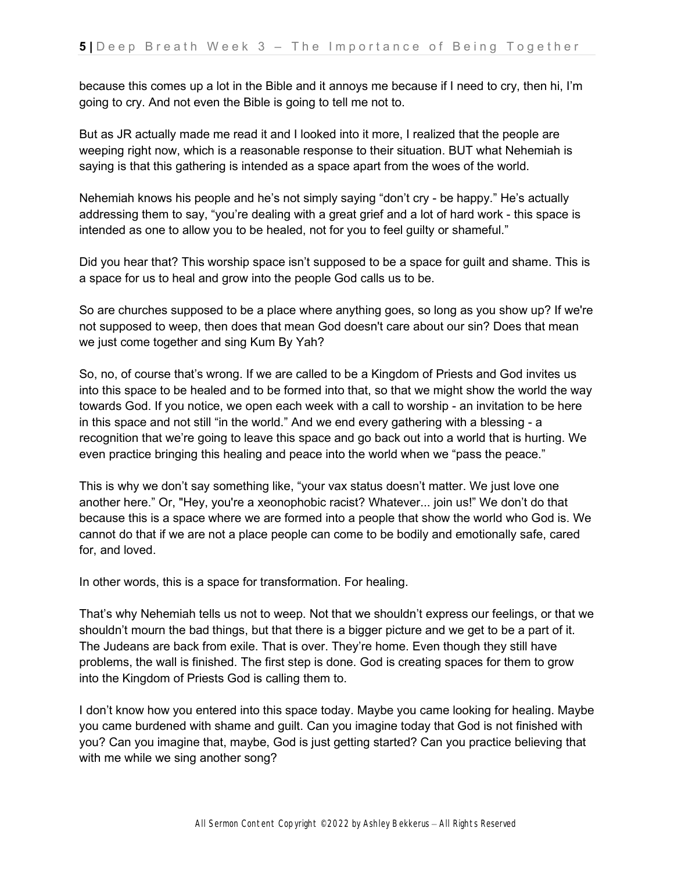because this comes up a lot in the Bible and it annoys me because if I need to cry, then hi, I'm going to cry. And not even the Bible is going to tell me not to.

But as JR actually made me read it and I looked into it more, I realized that the people are weeping right now, which is a reasonable response to their situation. BUT what Nehemiah is saying is that this gathering is intended as a space apart from the woes of the world.

Nehemiah knows his people and he's not simply saying "don't cry - be happy." He's actually addressing them to say, "you're dealing with a great grief and a lot of hard work - this space is intended as one to allow you to be healed, not for you to feel guilty or shameful."

Did you hear that? This worship space isn't supposed to be a space for guilt and shame. This is a space for us to heal and grow into the people God calls us to be.

So are churches supposed to be a place where anything goes, so long as you show up? If we're not supposed to weep, then does that mean God doesn't care about our sin? Does that mean we just come together and sing Kum By Yah?

So, no, of course that's wrong. If we are called to be a Kingdom of Priests and God invites us into this space to be healed and to be formed into that, so that we might show the world the way towards God. If you notice, we open each week with a call to worship - an invitation to be here in this space and not still "in the world." And we end every gathering with a blessing - a recognition that we're going to leave this space and go back out into a world that is hurting. We even practice bringing this healing and peace into the world when we "pass the peace."

This is why we don't say something like, "your vax status doesn't matter. We just love one another here." Or, "Hey, you're a xeonophobic racist? Whatever... join us!" We don't do that because this is a space where we are formed into a people that show the world who God is. We cannot do that if we are not a place people can come to be bodily and emotionally safe, cared for, and loved.

In other words, this is a space for transformation. For healing.

That's why Nehemiah tells us not to weep. Not that we shouldn't express our feelings, or that we shouldn't mourn the bad things, but that there is a bigger picture and we get to be a part of it. The Judeans are back from exile. That is over. They're home. Even though they still have problems, the wall is finished. The first step is done. God is creating spaces for them to grow into the Kingdom of Priests God is calling them to.

I don't know how you entered into this space today. Maybe you came looking for healing. Maybe you came burdened with shame and guilt. Can you imagine today that God is not finished with you? Can you imagine that, maybe, God is just getting started? Can you practice believing that with me while we sing another song?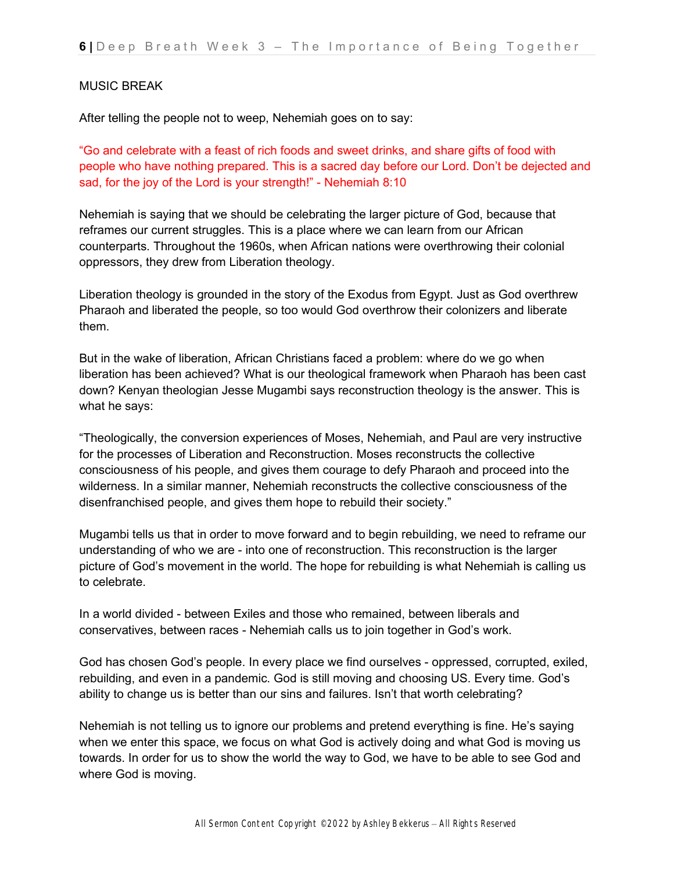# MUSIC BREAK

After telling the people not to weep, Nehemiah goes on to say:

"Go and celebrate with a feast of rich foods and sweet drinks, and share gifts of food with people who have nothing prepared. This is a sacred day before our Lord. Don't be dejected and sad, for the joy of the Lord is your strength!" - Nehemiah 8:10

Nehemiah is saying that we should be celebrating the larger picture of God, because that reframes our current struggles. This is a place where we can learn from our African counterparts. Throughout the 1960s, when African nations were overthrowing their colonial oppressors, they drew from Liberation theology.

Liberation theology is grounded in the story of the Exodus from Egypt. Just as God overthrew Pharaoh and liberated the people, so too would God overthrow their colonizers and liberate them.

But in the wake of liberation, African Christians faced a problem: where do we go when liberation has been achieved? What is our theological framework when Pharaoh has been cast down? Kenyan theologian Jesse Mugambi says reconstruction theology is the answer. This is what he says:

"Theologically, the conversion experiences of Moses, Nehemiah, and Paul are very instructive for the processes of Liberation and Reconstruction. Moses reconstructs the collective consciousness of his people, and gives them courage to defy Pharaoh and proceed into the wilderness. In a similar manner, Nehemiah reconstructs the collective consciousness of the disenfranchised people, and gives them hope to rebuild their society."

Mugambi tells us that in order to move forward and to begin rebuilding, we need to reframe our understanding of who we are - into one of reconstruction. This reconstruction is the larger picture of God's movement in the world. The hope for rebuilding is what Nehemiah is calling us to celebrate.

In a world divided - between Exiles and those who remained, between liberals and conservatives, between races - Nehemiah calls us to join together in God's work.

God has chosen God's people. In every place we find ourselves - oppressed, corrupted, exiled, rebuilding, and even in a pandemic. God is still moving and choosing US. Every time. God's ability to change us is better than our sins and failures. Isn't that worth celebrating?

Nehemiah is not telling us to ignore our problems and pretend everything is fine. He's saying when we enter this space, we focus on what God is actively doing and what God is moving us towards. In order for us to show the world the way to God, we have to be able to see God and where God is moving.